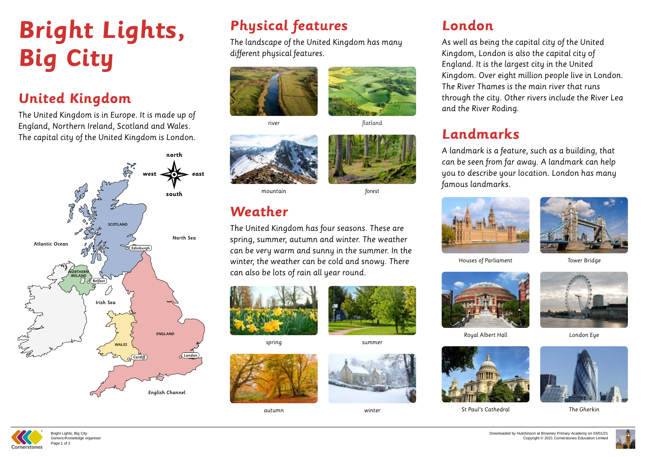# **Bright Lights, Big City**

## **United Kingdom**

The United Kingdom is in Europe. It is made up of England, Northern Ireland, Scotland and Wales. The capital city of the United Kingdom is London.

# **Physical features**

The landscape of the United Kingdom has many different physical features.



### **Weather**

The United Kingdom has four seasons. These are spring, summer, autumn and winter. The weather can be very warm and sunny in the summer. In the winter, the weather can be cold and snowy. There can also be lots of rain all year round.





Houses of Parliament

river



flatland





spring





Royal Albert Hall



St Paul's Cathedral



mountain

autumn





Tower Bridge

summer





London Eye



The Gherkin

forest

winter

## **London**



As well as being the capital city of the United Kingdom, London is also the capital city of England. It is the largest city in the United Kingdom. Over eight million people live in London. The River Thames is the main river that runs through the city. Other rivers include the River Lea and the River Roding.



### **Landmarks**

A landmark is a feature, such as a building, that can be seen from far away. A landmark can help you to describe your location. London has many famous landmarks.